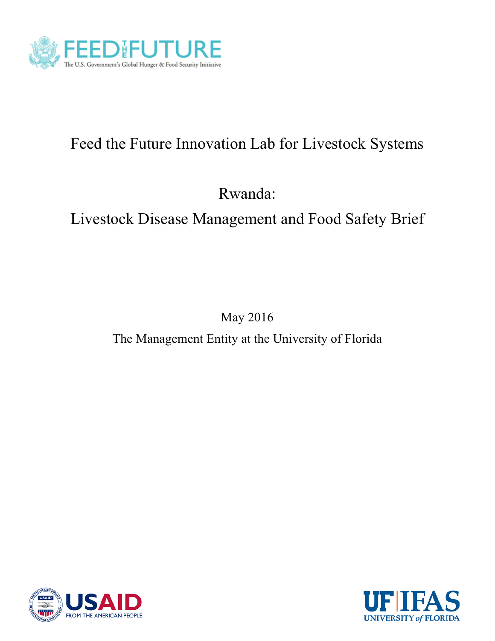

# Feed the Future Innovation Lab for Livestock Systems

Rwanda:

Livestock Disease Management and Food Safety Brief

May 2016

The Management Entity at the University of Florida



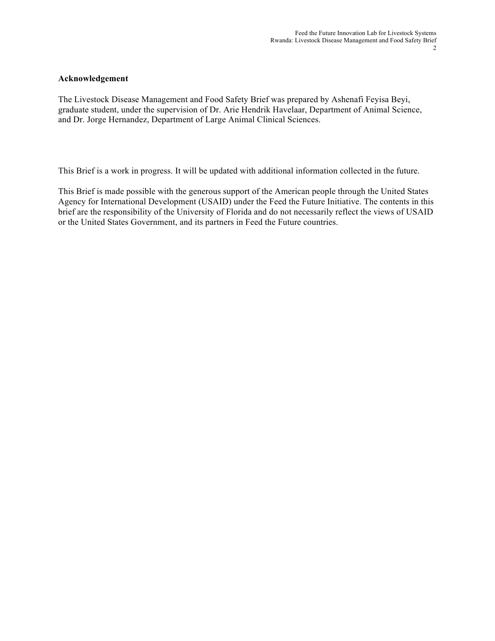#### **Acknowledgement**

The Livestock Disease Management and Food Safety Brief was prepared by Ashenafi Feyisa Beyi, graduate student, under the supervision of Dr. Arie Hendrik Havelaar, Department of Animal Science, and Dr. Jorge Hernandez, Department of Large Animal Clinical Sciences.

This Brief is a work in progress. It will be updated with additional information collected in the future.

This Brief is made possible with the generous support of the American people through the United States Agency for International Development (USAID) under the Feed the Future Initiative. The contents in this brief are the responsibility of the University of Florida and do not necessarily reflect the views of USAID or the United States Government, and its partners in Feed the Future countries.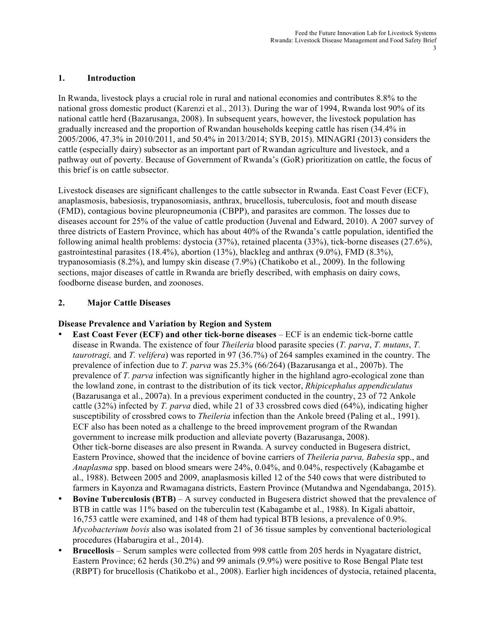## **1. Introduction**

In Rwanda, livestock plays a crucial role in rural and national economies and contributes 8.8% to the national gross domestic product (Karenzi et al., 2013). During the war of 1994, Rwanda lost 90% of its national cattle herd (Bazarusanga, 2008). In subsequent years, however, the livestock population has gradually increased and the proportion of Rwandan households keeping cattle has risen (34.4% in 2005/2006, 47.3% in 2010/2011, and 50.4% in 2013/2014; SYB, 2015). MINAGRI (2013) considers the cattle (especially dairy) subsector as an important part of Rwandan agriculture and livestock, and a pathway out of poverty. Because of Government of Rwanda's (GoR) prioritization on cattle, the focus of this brief is on cattle subsector.

Livestock diseases are significant challenges to the cattle subsector in Rwanda. East Coast Fever (ECF), anaplasmosis, babesiosis, trypanosomiasis, anthrax, brucellosis, tuberculosis, foot and mouth disease (FMD), contagious bovine pleuropneumonia (CBPP), and parasites are common. The losses due to diseases account for 25% of the value of cattle production (Juvenal and Edward, 2010). A 2007 survey of three districts of Eastern Province, which has about 40% of the Rwanda's cattle population, identified the following animal health problems: dystocia (37%), retained placenta (33%), tick-borne diseases (27.6%), gastrointestinal parasites (18.4%), abortion (13%), blackleg and anthrax (9.0%), FMD (8.3%), trypanosomiasis (8.2%), and lumpy skin disease (7.9%) (Chatikobo et al., 2009). In the following sections, major diseases of cattle in Rwanda are briefly described, with emphasis on dairy cows, foodborne disease burden, and zoonoses.

## **2. Major Cattle Diseases**

## **Disease Prevalence and Variation by Region and System**

- **East Coast Fever (ECF) and other tick-borne diseases** ECF is an endemic tick-borne cattle disease in Rwanda. The existence of four *Theileria* blood parasite species (*T. parva*, *T. mutans*, *T. taurotragi,* and *T. velifera*) was reported in 97 (36.7%) of 264 samples examined in the country. The prevalence of infection due to *T. parva* was 25.3% (66/264) (Bazarusanga et al., 2007b). The prevalence of *T. parva* infection was significantly higher in the highland agro-ecological zone than the lowland zone, in contrast to the distribution of its tick vector, *Rhipicephalus appendiculatus*  (Bazarusanga et al., 2007a). In a previous experiment conducted in the country, 23 of 72 Ankole cattle (32%) infected by *T. parva* died, while 21 of 33 crossbred cows died (64%), indicating higher susceptibility of crossbred cows to *Theileria* infection than the Ankole breed (Paling et al., 1991). ECF also has been noted as a challenge to the breed improvement program of the Rwandan government to increase milk production and alleviate poverty (Bazarusanga, 2008). Other tick-borne diseases are also present in Rwanda. A survey conducted in Bugesera district, Eastern Province, showed that the incidence of bovine carriers of *Theileria parva, Babesia* spp., and *Anaplasma* spp. based on blood smears were 24%, 0.04%, and 0.04%, respectively (Kabagambe et al., 1988). Between 2005 and 2009, anaplasmosis killed 12 of the 540 cows that were distributed to farmers in Kayonza and Rwamagana districts, Eastern Province (Mutandwa and Ngendabanga, 2015).
- **Bovine Tuberculosis (BTB)** A survey conducted in Bugesera district showed that the prevalence of BTB in cattle was 11% based on the tuberculin test (Kabagambe et al., 1988). In Kigali abattoir, 16,753 cattle were examined, and 148 of them had typical BTB lesions, a prevalence of 0.9%. *Mycobacterium bovis* also was isolated from 21 of 36 tissue samples by conventional bacteriological procedures (Habarugira et al., 2014).
- **Brucellosis** Serum samples were collected from 998 cattle from 205 herds in Nyagatare district, Eastern Province; 62 herds (30.2%) and 99 animals (9.9%) were positive to Rose Bengal Plate test (RBPT) for brucellosis (Chatikobo et al., 2008). Earlier high incidences of dystocia, retained placenta,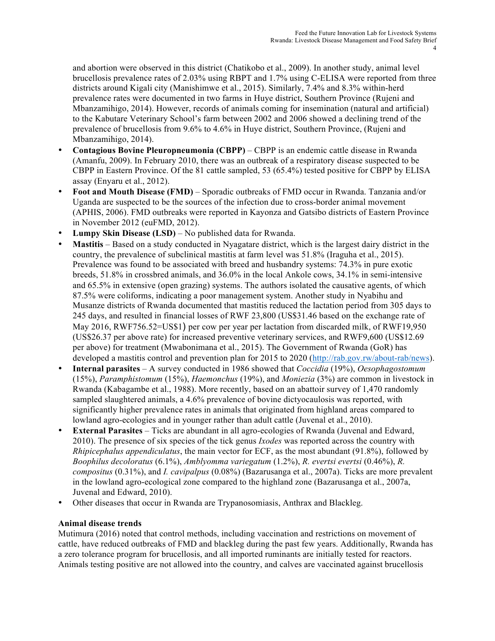and abortion were observed in this district (Chatikobo et al., 2009). In another study, animal level brucellosis prevalence rates of 2.03% using RBPT and 1.7% using C-ELISA were reported from three districts around Kigali city (Manishimwe et al., 2015). Similarly, 7.4% and 8.3% within-herd prevalence rates were documented in two farms in Huye district, Southern Province (Rujeni and Mbanzamihigo, 2014). However, records of animals coming for insemination (natural and artificial) to the Kabutare Veterinary School's farm between 2002 and 2006 showed a declining trend of the prevalence of brucellosis from 9.6% to 4.6% in Huye district, Southern Province, (Rujeni and Mbanzamihigo, 2014).

- **Contagious Bovine Pleuropneumonia (CBPP)** CBPP is an endemic cattle disease in Rwanda (Amanfu, 2009). In February 2010, there was an outbreak of a respiratory disease suspected to be CBPP in Eastern Province. Of the 81 cattle sampled, 53 (65.4%) tested positive for CBPP by ELISA assay (Enyaru et al., 2012).
- **Foot and Mouth Disease (FMD)** Sporadic outbreaks of FMD occur in Rwanda. Tanzania and/or Uganda are suspected to be the sources of the infection due to cross-border animal movement (APHIS, 2006). FMD outbreaks were reported in Kayonza and Gatsibo districts of Eastern Province in November 2012 (euFMD, 2012).
- **Lumpy Skin Disease (LSD)** No published data for Rwanda.
- **Mastitis** Based on a study conducted in Nyagatare district, which is the largest dairy district in the country, the prevalence of subclinical mastitis at farm level was 51.8% (Iraguha et al., 2015). Prevalence was found to be associated with breed and husbandry systems: 74.3% in pure exotic breeds, 51.8% in crossbred animals, and 36.0% in the local Ankole cows, 34.1% in semi-intensive and 65.5% in extensive (open grazing) systems. The authors isolated the causative agents, of which 87.5% were coliforms, indicating a poor management system. Another study in Nyabihu and Musanze districts of Rwanda documented that mastitis reduced the lactation period from 305 days to 245 days, and resulted in financial losses of RWF 23,800 (US\$31.46 based on the exchange rate of May 2016, RWF756.52=US\$1) per cow per year per lactation from discarded milk, of RWF19,950 (US\$26.37 per above rate) for increased preventive veterinary services, and RWF9,600 (US\$12.69 per above) for treatment (Mwabonimana et al., 2015). The Government of Rwanda (GoR) has developed a mastitis control and prevention plan for 2015 to 2020 (http://rab.gov.rw/about-rab/news).
- **Internal parasites**  A survey conducted in 1986 showed that *Coccidia* (19%), *Oesophagostomum* (15%), *Paramphistomum* (15%), *Haemonchus* (19%), and *Moniezia* (3%) are common in livestock in Rwanda (Kabagambe et al., 1988). More recently, based on an abattoir survey of 1,470 randomly sampled slaughtered animals, a 4.6% prevalence of bovine dictyocaulosis was reported, with significantly higher prevalence rates in animals that originated from highland areas compared to lowland agro-ecologies and in younger rather than adult cattle (Juvenal et al., 2010).
- **External Parasites** Ticks are abundant in all agro-ecologies of Rwanda (Juvenal and Edward, 2010). The presence of six species of the tick genus *Ixodes* was reported across the country with *Rhipicephalus appendiculatus*, the main vector for ECF, as the most abundant (91.8%), followed by *Boophilus decoloratus* (6.1%), *Amblyomma variegatum* (1.2%), *R. evertsi evertsi* (0.46%), *R. compositus* (0.31%), and *I. cavipalpus* (0.08%) (Bazarusanga et al., 2007a). Ticks are more prevalent in the lowland agro-ecological zone compared to the highland zone (Bazarusanga et al., 2007a, Juvenal and Edward, 2010).
- Other diseases that occur in Rwanda are Trypanosomiasis, Anthrax and Blackleg.

## **Animal disease trends**

Mutimura (2016) noted that control methods, including vaccination and restrictions on movement of cattle, have reduced outbreaks of FMD and blackleg during the past few years. Additionally, Rwanda has a zero tolerance program for brucellosis, and all imported ruminants are initially tested for reactors. Animals testing positive are not allowed into the country, and calves are vaccinated against brucellosis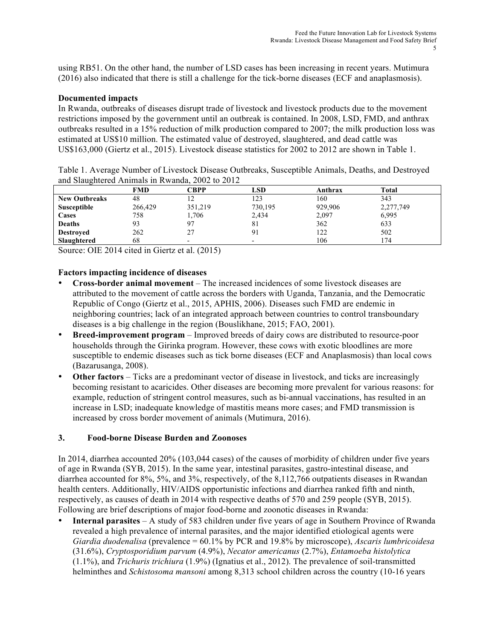using RB51. On the other hand, the number of LSD cases has been increasing in recent years. Mutimura (2016) also indicated that there is still a challenge for the tick-borne diseases (ECF and anaplasmosis).

#### **Documented impacts**

In Rwanda, outbreaks of diseases disrupt trade of livestock and livestock products due to the movement restrictions imposed by the government until an outbreak is contained. In 2008, LSD, FMD, and anthrax outbreaks resulted in a 15% reduction of milk production compared to 2007; the milk production loss was estimated at US\$10 million. The estimated value of destroyed, slaughtered, and dead cattle was US\$163,000 (Giertz et al., 2015). Livestock disease statistics for 2002 to 2012 are shown in Table 1.

| Table 1. Average Number of Livestock Disease Outbreaks, Susceptible Animals, Deaths, and Destroyed |  |  |  |
|----------------------------------------------------------------------------------------------------|--|--|--|
| and Slaughtered Animals in Rwanda, 2002 to 2012                                                    |  |  |  |

|                      | FMD     | <b>CBPP</b> | <b>LSD</b>               | Anthrax | Total     |  |
|----------------------|---------|-------------|--------------------------|---------|-----------|--|
| <b>New Outbreaks</b> | 48      | 12          | 123                      | 160     | 343       |  |
| Susceptible          | 266,429 | 351,219     | 730,195                  | 929,906 | 2,277,749 |  |
| <b>Cases</b>         | 758     | 1,706       | 2,434                    | 2,097   | 6,995     |  |
| <b>Deaths</b>        | 93      | 97          | -81                      | 362     | 633       |  |
| <b>Destroyed</b>     | 262     | 27          | 91                       | 122     | 502       |  |
| Slaughtered          | 68      |             | $\overline{\phantom{0}}$ | 106     | 174       |  |

Source: OIE 2014 cited in Giertz et al. (2015)

## **Factors impacting incidence of diseases**

- **Cross-border animal movement**  The increased incidences of some livestock diseases are attributed to the movement of cattle across the borders with Uganda, Tanzania, and the Democratic Republic of Congo (Giertz et al., 2015, APHIS, 2006). Diseases such FMD are endemic in neighboring countries; lack of an integrated approach between countries to control transboundary diseases is a big challenge in the region (Bouslikhane, 2015; FAO, 2001).
- **Breed-improvement program** Improved breeds of dairy cows are distributed to resource-poor households through the Girinka program. However, these cows with exotic bloodlines are more susceptible to endemic diseases such as tick borne diseases (ECF and Anaplasmosis) than local cows (Bazarusanga, 2008).
- **Other factors** Ticks are a predominant vector of disease in livestock, and ticks are increasingly becoming resistant to acaricides. Other diseases are becoming more prevalent for various reasons: for example, reduction of stringent control measures, such as bi-annual vaccinations, has resulted in an increase in LSD; inadequate knowledge of mastitis means more cases; and FMD transmission is increased by cross border movement of animals (Mutimura, 2016).

## **3. Food-borne Disease Burden and Zoonoses**

In 2014, diarrhea accounted 20% (103,044 cases) of the causes of morbidity of children under five years of age in Rwanda (SYB, 2015). In the same year, intestinal parasites, gastro-intestinal disease, and diarrhea accounted for 8%, 5%, and 3%, respectively, of the 8,112,766 outpatients diseases in Rwandan health centers. Additionally, HIV/AIDS opportunistic infections and diarrhea ranked fifth and ninth, respectively, as causes of death in 2014 with respective deaths of 570 and 259 people (SYB, 2015). Following are brief descriptions of major food-borne and zoonotic diseases in Rwanda:

• **Internal parasites** – A study of 583 children under five years of age in Southern Province of Rwanda revealed a high prevalence of internal parasites, and the major identified etiological agents were *Giardia duodenalisa* (prevalence = 60.1% by PCR and 19.8% by microscope), *Ascaris lumbricoidesa* (31.6%), *Cryptosporidium parvum* (4.9%), *Necator americanus* (2.7%), *Entamoeba histolytica* (1.1%), and *Trichuris trichiura* (1.9%) (Ignatius et al., 2012). The prevalence of soil-transmitted helminthes and *Schistosoma mansoni* among 8,313 school children across the country (10-16 years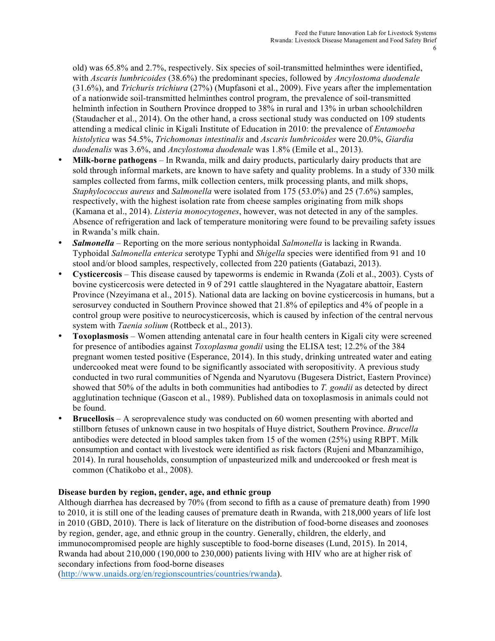old) was 65.8% and 2.7%, respectively. Six species of soil-transmitted helminthes were identified, with *Ascaris lumbricoides* (38.6%) the predominant species, followed by *Ancylostoma duodenale* (31.6%), and *Trichuris trichiura* (27%) (Mupfasoni et al., 2009). Five years after the implementation of a nationwide soil-transmitted helminthes control program, the prevalence of soil-transmitted helminth infection in Southern Province dropped to 38% in rural and 13% in urban schoolchildren (Staudacher et al., 2014). On the other hand, a cross sectional study was conducted on 109 students attending a medical clinic in Kigali Institute of Education in 2010: the prevalence of *Entamoeba histolytica* was 54.5%, *Trichomonas intestinalis* and *Ascaris lumbricoides* were 20.0%, *Giardia duodenalis* was 3.6%, and *Ancylostoma duodenale* was 1.8% (Emile et al., 2013).

- **Milk-borne pathogens** In Rwanda, milk and dairy products, particularly dairy products that are sold through informal markets, are known to have safety and quality problems. In a study of 330 milk samples collected from farms, milk collection centers, milk processing plants, and milk shops, *Staphylococcus aureus* and *Salmonella* were isolated from 175 (53.0%) and 25 (7.6%) samples, respectively, with the highest isolation rate from cheese samples originating from milk shops (Kamana et al., 2014). *Listeria monocytogenes*, however, was not detected in any of the samples. Absence of refrigeration and lack of temperature monitoring were found to be prevailing safety issues in Rwanda's milk chain.
- *Salmonella* Reporting on the more serious nontyphoidal *Salmonella* is lacking in Rwanda. Typhoidal *Salmonella enterica* serotype Typhi and *Shigella* species were identified from 91 and 10 stool and/or blood samples, respectively, collected from 220 patients (Gatabazi, 2013).
- **Cysticercosis** This disease caused by tapeworms is endemic in Rwanda (Zoli et al., 2003). Cysts of bovine cysticercosis were detected in 9 of 291 cattle slaughtered in the Nyagatare abattoir, Eastern Province (Nzeyimana et al., 2015). National data are lacking on bovine cysticercosis in humans, but a serosurvey conducted in Southern Province showed that 21.8% of epileptics and 4% of people in a control group were positive to neurocysticercosis, which is caused by infection of the central nervous system with *Taenia solium* (Rottbeck et al., 2013).
- **Toxoplasmosis** Women attending antenatal care in four health centers in Kigali city were screened for presence of antibodies against *Toxoplasma gondii* using the ELISA test; 12.2% of the 384 pregnant women tested positive (Esperance, 2014). In this study, drinking untreated water and eating undercooked meat were found to be significantly associated with seropositivity. A previous study conducted in two rural communities of Ngenda and Nyarutovu (Bugesera District, Eastern Province) showed that 50% of the adults in both communities had antibodies to *T. gondii* as detected by direct agglutination technique (Gascon et al., 1989). Published data on toxoplasmosis in animals could not be found.
- **Brucellosis** A seroprevalence study was conducted on 60 women presenting with aborted and stillborn fetuses of unknown cause in two hospitals of Huye district, Southern Province. *Brucella* antibodies were detected in blood samples taken from 15 of the women (25%) using RBPT. Milk consumption and contact with livestock were identified as risk factors (Rujeni and Mbanzamihigo, 2014). In rural households, consumption of unpasteurized milk and undercooked or fresh meat is common (Chatikobo et al., 2008).

## **Disease burden by region, gender, age, and ethnic group**

Although diarrhea has decreased by 70% (from second to fifth as a cause of premature death) from 1990 to 2010, it is still one of the leading causes of premature death in Rwanda, with 218,000 years of life lost in 2010 (GBD, 2010). There is lack of literature on the distribution of food-borne diseases and zoonoses by region, gender, age, and ethnic group in the country. Generally, children, the elderly, and immunocompromised people are highly susceptible to food-borne diseases (Lund, 2015). In 2014, Rwanda had about 210,000 (190,000 to 230,000) patients living with HIV who are at higher risk of secondary infections from food-borne diseases

(http://www.unaids.org/en/regionscountries/countries/rwanda).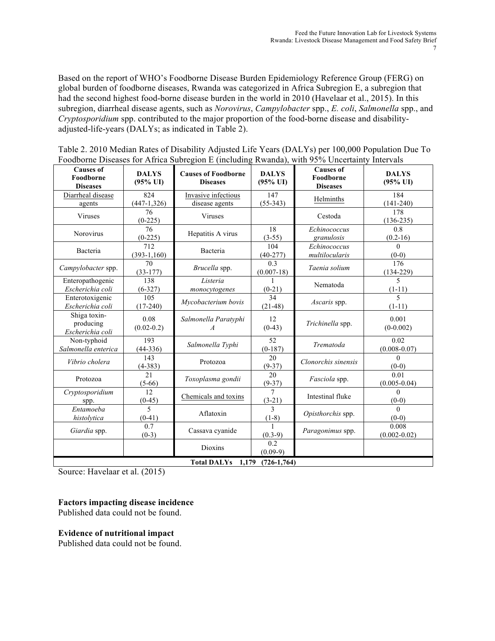Based on the report of WHO's Foodborne Disease Burden Epidemiology Reference Group (FERG) on global burden of foodborne diseases, Rwanda was categorized in Africa Subregion E, a subregion that had the second highest food-borne disease burden in the world in 2010 (Havelaar et al., 2015). In this subregion, diarrheal disease agents, such as *Norovirus*, *Campylobacter* spp., *E. coli*, *Salmonella* spp., and *Cryptosporidium* spp. contributed to the major proportion of the food-borne disease and disabilityadjusted-life-years (DALYs; as indicated in Table 2).

| <b>Causes of</b><br>Foodborne<br><b>Diseases</b> | <b>DALYS</b><br>$(95\% \text{ UI})$ | <b>Causes of Foodborne</b><br><b>Diseases</b> | <b>DALYS</b><br>$(95\% \text{ UI})$ | <b>Causes of</b><br>Foodborne<br><b>Diseases</b> | <b>DALYS</b><br>$(95\%$ UI)          |  |  |
|--------------------------------------------------|-------------------------------------|-----------------------------------------------|-------------------------------------|--------------------------------------------------|--------------------------------------|--|--|
| Diarrheal disease<br>agents                      | 824<br>$(447-1,326)$                | Invasive infectious<br>disease agents         | 147<br>$(55-343)$                   | Helminths                                        | 184<br>$(141-240)$                   |  |  |
| Viruses                                          | 76<br>$(0-225)$                     | Viruses                                       |                                     | Cestoda                                          | 178<br>$(136-235)$                   |  |  |
| <b>Norovirus</b>                                 | 76<br>$(0-225)$                     | Hepatitis A virus                             | 18<br>$(3-55)$                      | Echinococcus<br>granulosis                       | 0.8<br>$(0.2-16)$                    |  |  |
| Bacteria                                         | 712<br>$(393-1,160)$                | Bacteria                                      | 104<br>$(40-277)$                   | Echinococcus<br>multilocularis                   | $\Omega$<br>$(0-0)$                  |  |  |
| Campylobacter spp.                               | 70<br>$(33-177)$                    | Brucella spp.                                 | 0.3<br>$(0.007-18)$                 | Taenia solium                                    | 176<br>$(134 - 229)$                 |  |  |
| Enteropathogenic<br>Escherichia coli             | 138<br>$(6-327)$                    | Listeria<br>monocytogenes                     | $(0-21)$                            | Nematoda                                         | 5<br>$(1-11)$                        |  |  |
| Enterotoxigenic<br>Escherichia coli              | 105<br>$(17-240)$                   | Mycobacterium bovis                           | 34<br>$(21-48)$                     | Ascaris spp.                                     | $\overline{\phantom{0}}$<br>$(1-11)$ |  |  |
| Shiga toxin-<br>producing<br>Escherichia coli    | 0.08<br>$(0.02 - 0.2)$              | Salmonella Paratyphi<br>$\overline{A}$        | 12<br>$(0-43)$                      | Trichinella spp.                                 | 0.001<br>$(0-0.002)$                 |  |  |
| Non-typhoid<br>Salmonella enterica               | 193<br>$(44-336)$                   | Salmonella Typhi                              | 52<br>$(0-187)$                     | Trematoda                                        | 0.02<br>$(0.008 - 0.07)$             |  |  |
| Vibrio cholera                                   | 143<br>$(4-383)$                    | Protozoa                                      | 20<br>$(9-37)$                      | Clonorchis sinensis                              | $\Omega$<br>$(0-0)$                  |  |  |
| Protozoa                                         | 21<br>$(5-66)$                      | Toxoplasma gondii                             | 20<br>$(9-37)$                      | Fasciola spp.                                    | 0.01<br>$(0.005 - 0.04)$             |  |  |
| Cryptosporidium<br>spp.                          | 12<br>$(0-45)$                      | Chemicals and toxins                          | $\overline{7}$<br>$(3-21)$          | Intestinal fluke                                 | $\Omega$<br>$(0-0)$                  |  |  |
| Entamoeba<br>histolytica                         | 5<br>$(0-41)$                       | Aflatoxin                                     | $\mathbf{3}$<br>$(1-8)$             | Opisthorchis spp.                                | $\Omega$<br>$(0-0)$                  |  |  |
| Giardia spp.                                     | 0.7<br>$(0-3)$                      | Cassava cyanide                               | $(0.3-9)$                           | Paragonimus spp.                                 | 0.008<br>$(0.002 - 0.02)$            |  |  |
|                                                  |                                     | <b>Dioxins</b>                                | 0.2<br>$(0.09-9)$                   |                                                  |                                      |  |  |
| <b>Total DALYs</b><br>$(726-1,764)$<br>1.179     |                                     |                                               |                                     |                                                  |                                      |  |  |

Table 2. 2010 Median Rates of Disability Adjusted Life Years (DALYs) per 100,000 Population Due To Foodborne Diseases for Africa Subregion E (including Rwanda), with 95% Uncertainty Intervals

Source: Havelaar et al. (2015)

## **Factors impacting disease incidence**

Published data could not be found.

## **Evidence of nutritional impact**

Published data could not be found.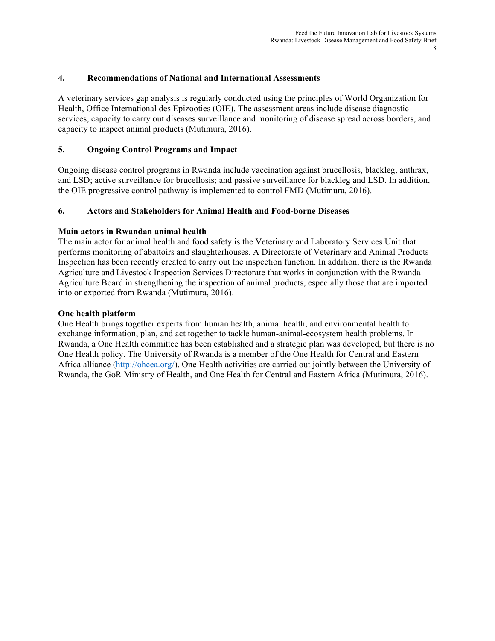## **4. Recommendations of National and International Assessments**

A veterinary services gap analysis is regularly conducted using the principles of World Organization for Health, Office International des Epizooties (OIE). The assessment areas include disease diagnostic services, capacity to carry out diseases surveillance and monitoring of disease spread across borders, and capacity to inspect animal products (Mutimura, 2016).

#### **5. Ongoing Control Programs and Impact**

Ongoing disease control programs in Rwanda include vaccination against brucellosis, blackleg, anthrax, and LSD; active surveillance for brucellosis; and passive surveillance for blackleg and LSD. In addition, the OIE progressive control pathway is implemented to control FMD (Mutimura, 2016).

#### **6. Actors and Stakeholders for Animal Health and Food-borne Diseases**

#### **Main actors in Rwandan animal health**

The main actor for animal health and food safety is the Veterinary and Laboratory Services Unit that performs monitoring of abattoirs and slaughterhouses. A Directorate of Veterinary and Animal Products Inspection has been recently created to carry out the inspection function. In addition, there is the Rwanda Agriculture and Livestock Inspection Services Directorate that works in conjunction with the Rwanda Agriculture Board in strengthening the inspection of animal products, especially those that are imported into or exported from Rwanda (Mutimura, 2016).

#### **One health platform**

One Health brings together experts from human health, animal health, and environmental health to exchange information, plan, and act together to tackle human-animal-ecosystem health problems. In Rwanda, a One Health committee has been established and a strategic plan was developed, but there is no One Health policy. The University of Rwanda is a member of the One Health for Central and Eastern Africa alliance (http://ohcea.org/). One Health activities are carried out jointly between the University of Rwanda, the GoR Ministry of Health, and One Health for Central and Eastern Africa (Mutimura, 2016).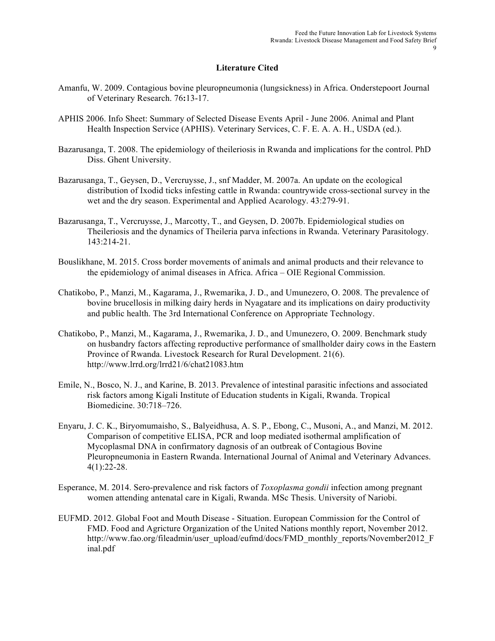## **Literature Cited**

- Amanfu, W. 2009. Contagious bovine pleuropneumonia (lungsickness) in Africa. Onderstepoort Journal of Veterinary Research. 76**:**13-17.
- APHIS 2006. Info Sheet: Summary of Selected Disease Events April June 2006. Animal and Plant Health Inspection Service (APHIS). Veterinary Services, C. F. E. A. A. H., USDA (ed.).
- Bazarusanga, T. 2008. The epidemiology of theileriosis in Rwanda and implications for the control. PhD Diss. Ghent University.
- Bazarusanga, T., Geysen, D., Vercruysse, J., snf Madder, M. 2007a. An update on the ecological distribution of Ixodid ticks infesting cattle in Rwanda: countrywide cross-sectional survey in the wet and the dry season. Experimental and Applied Acarology. 43:279-91.
- Bazarusanga, T., Vercruysse, J., Marcotty, T., and Geysen, D. 2007b. Epidemiological studies on Theileriosis and the dynamics of Theileria parva infections in Rwanda. Veterinary Parasitology. 143:214-21.
- Bouslikhane, M. 2015. Cross border movements of animals and animal products and their relevance to the epidemiology of animal diseases in Africa. Africa – OIE Regional Commission.
- Chatikobo, P., Manzi, M., Kagarama, J., Rwemarika, J. D., and Umunezero, O. 2008. The prevalence of bovine brucellosis in milking dairy herds in Nyagatare and its implications on dairy productivity and public health. The 3rd International Conference on Appropriate Technology.
- Chatikobo, P., Manzi, M., Kagarama, J., Rwemarika, J. D., and Umunezero, O. 2009. Benchmark study on husbandry factors affecting reproductive performance of smallholder dairy cows in the Eastern Province of Rwanda. Livestock Research for Rural Development. 21(6). http://www.lrrd.org/lrrd21/6/chat21083.htm
- Emile, N., Bosco, N. J., and Karine, B. 2013. Prevalence of intestinal parasitic infections and associated risk factors among Kigali Institute of Education students in Kigali, Rwanda. Tropical Biomedicine. 30:718–726.
- Enyaru, J. C. K., Biryomumaisho, S., Balyeidhusa, A. S. P., Ebong, C., Musoni, A., and Manzi, M. 2012. Comparison of competitive ELISA, PCR and loop mediated isothermal amplification of Mycoplasmal DNA in confirmatory dagnosis of an outbreak of Contagious Bovine Pleuropneumonia in Eastern Rwanda. International Journal of Animal and Veterinary Advances. 4(1):22-28.
- Esperance, M. 2014. Sero-prevalence and risk factors of *Toxoplasma gondii* infection among pregnant women attending antenatal care in Kigali, Rwanda. MSc Thesis. University of Nariobi.
- EUFMD. 2012. Global Foot and Mouth Disease Situation. European Commission for the Control of FMD. Food and Agricture Organization of the United Nations monthly report, November 2012. http://www.fao.org/fileadmin/user\_upload/eufmd/docs/FMD\_monthly\_reports/November2012\_F inal.pdf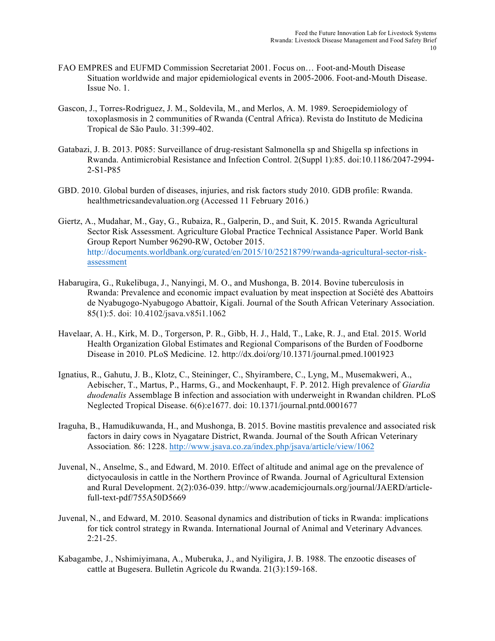- FAO EMPRES and EUFMD Commission Secretariat 2001. Focus on… Foot-and-Mouth Disease Situation worldwide and major epidemiological events in 2005-2006. Foot-and-Mouth Disease. Issue No. 1.
- Gascon, J., Torres-Rodriguez, J. M., Soldevila, M., and Merlos, A. M. 1989. Seroepidemiology of toxoplasmosis in 2 communities of Rwanda (Central Africa). Revista do Instituto de Medicina Tropical de São Paulo. 31:399-402.
- Gatabazi, J. B. 2013. P085: Surveillance of drug-resistant Salmonella sp and Shigella sp infections in Rwanda. Antimicrobial Resistance and Infection Control. 2(Suppl 1):85. doi:10.1186/2047-2994- 2-S1-P85
- GBD. 2010. Global burden of diseases, injuries, and risk factors study 2010. GDB profile: Rwanda. healthmetricsandevaluation.org (Accessed 11 February 2016.)
- Giertz, A., Mudahar, M., Gay, G., Rubaiza, R., Galperin, D., and Suit, K. 2015. Rwanda Agricultural Sector Risk Assessment. Agriculture Global Practice Technical Assistance Paper. World Bank Group Report Number 96290-RW, October 2015. http://documents.worldbank.org/curated/en/2015/10/25218799/rwanda-agricultural-sector-riskassessment
- Habarugira, G., Rukelibuga, J., Nanyingi, M. O., and Mushonga, B. 2014. Bovine tuberculosis in Rwanda: Prevalence and economic impact evaluation by meat inspection at Société des Abattoirs de Nyabugogo-Nyabugogo Abattoir, Kigali. Journal of the South African Veterinary Association. 85(1):5. doi: 10.4102/jsava.v85i1.1062
- Havelaar, A. H., Kirk, M. D., Torgerson, P. R., Gibb, H. J., Hald, T., Lake, R. J., and Etal. 2015. World Health Organization Global Estimates and Regional Comparisons of the Burden of Foodborne Disease in 2010. PLoS Medicine. 12. http://dx.doi/org/10.1371/journal.pmed.1001923
- Ignatius, R., Gahutu, J. B., Klotz, C., Steininger, C., Shyirambere, C., Lyng, M., Musemakweri, A., Aebischer, T., Martus, P., Harms, G., and Mockenhaupt, F. P. 2012. High prevalence of *Giardia duodenalis* Assemblage B infection and association with underweight in Rwandan children. PLoS Neglected Tropical Disease. 6(6):e1677. doi: 10.1371/journal.pntd.0001677
- Iraguha, B., Hamudikuwanda, H., and Mushonga, B. 2015. Bovine mastitis prevalence and associated risk factors in dairy cows in Nyagatare District, Rwanda. Journal of the South African Veterinary Association*.* 86: 1228. http://www.jsava.co.za/index.php/jsava/article/view/1062
- Juvenal, N., Anselme, S., and Edward, M. 2010. Effect of altitude and animal age on the prevalence of dictyocaulosis in cattle in the Northern Province of Rwanda. Journal of Agricultural Extension and Rural Development. 2(2):036-039. http://www.academicjournals.org/journal/JAERD/articlefull-text-pdf/755A50D5669
- Juvenal, N., and Edward, M. 2010. Seasonal dynamics and distribution of ticks in Rwanda: implications for tick control strategy in Rwanda. International Journal of Animal and Veterinary Advances*.* 2:21-25.
- Kabagambe, J., Nshimiyimana, A., Muberuka, J., and Nyiligira, J. B. 1988. The enzootic diseases of cattle at Bugesera. Bulletin Agricole du Rwanda. 21(3):159-168.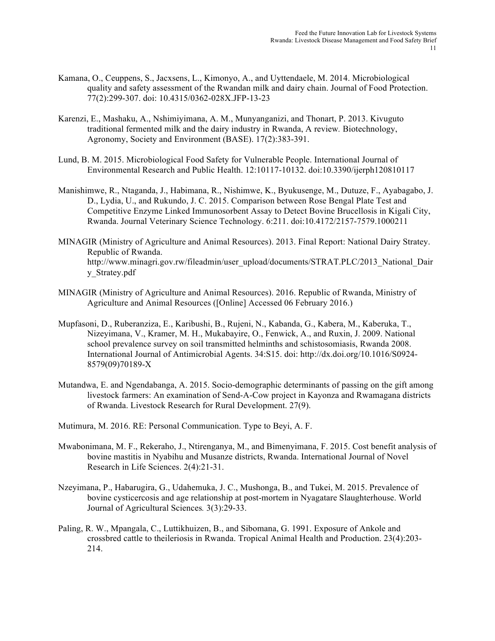- Kamana, O., Ceuppens, S., Jacxsens, L., Kimonyo, A., and Uyttendaele, M. 2014. Microbiological quality and safety assessment of the Rwandan milk and dairy chain. Journal of Food Protection. 77(2):299-307. doi: 10.4315/0362-028X.JFP-13-23
- Karenzi, E., Mashaku, A., Nshimiyimana, A. M., Munyanganizi, and Thonart, P. 2013. Kivuguto traditional fermented milk and the dairy industry in Rwanda, A review*.* Biotechnology, Agronomy, Society and Environment (BASE). 17(2):383-391.
- Lund, B. M. 2015. Microbiological Food Safety for Vulnerable People. International Journal of Environmental Research and Public Health. 12:10117-10132. doi:10.3390/ijerph120810117
- Manishimwe, R., Ntaganda, J., Habimana, R., Nishimwe, K., Byukusenge, M., Dutuze, F., Ayabagabo, J. D., Lydia, U., and Rukundo, J. C. 2015. Comparison between Rose Bengal Plate Test and Competitive Enzyme Linked Immunosorbent Assay to Detect Bovine Brucellosis in Kigali City, Rwanda. Journal Veterinary Science Technology. 6:211. doi:10.4172/2157-7579.1000211
- MINAGIR (Ministry of Agriculture and Animal Resources). 2013. Final Report: National Dairy Stratey. Republic of Rwanda. http://www.minagri.gov.rw/fileadmin/user\_upload/documents/STRAT.PLC/2013\_National\_Dair y\_Stratey.pdf
- MINAGIR (Ministry of Agriculture and Animal Resources). 2016. Republic of Rwanda, Ministry of Agriculture and Animal Resources ([Online] Accessed 06 February 2016.)
- Mupfasoni, D., Ruberanziza, E., Karibushi, B., Rujeni, N., Kabanda, G., Kabera, M., Kaberuka, T., Nizeyimana, V., Kramer, M. H., Mukabayire, O., Fenwick, A., and Ruxin, J. 2009. National school prevalence survey on soil transmitted helminths and schistosomiasis, Rwanda 2008. International Journal of Antimicrobial Agents. 34:S15. doi: http://dx.doi.org/10.1016/S0924- 8579(09)70189-X
- Mutandwa, E. and Ngendabanga, A. 2015. Socio-demographic determinants of passing on the gift among livestock farmers: An examination of Send-A-Cow project in Kayonza and Rwamagana districts of Rwanda. Livestock Research for Rural Development. 27(9).
- Mutimura, M. 2016. RE: Personal Communication. Type to Beyi, A. F.
- Mwabonimana, M. F., Rekeraho, J., Ntirenganya, M., and Bimenyimana, F. 2015. Cost benefit analysis of bovine mastitis in Nyabihu and Musanze districts, Rwanda. International Journal of Novel Research in Life Sciences. 2(4):21-31.
- Nzeyimana, P., Habarugira, G., Udahemuka, J. C., Mushonga, B., and Tukei, M. 2015. Prevalence of bovine cysticercosis and age relationship at post-mortem in Nyagatare Slaughterhouse. World Journal of Agricultural Sciences*.* 3(3):29-33.
- Paling, R. W., Mpangala, C., Luttikhuizen, B., and Sibomana, G. 1991. Exposure of Ankole and crossbred cattle to theileriosis in Rwanda. Tropical Animal Health and Production. 23(4):203- 214.